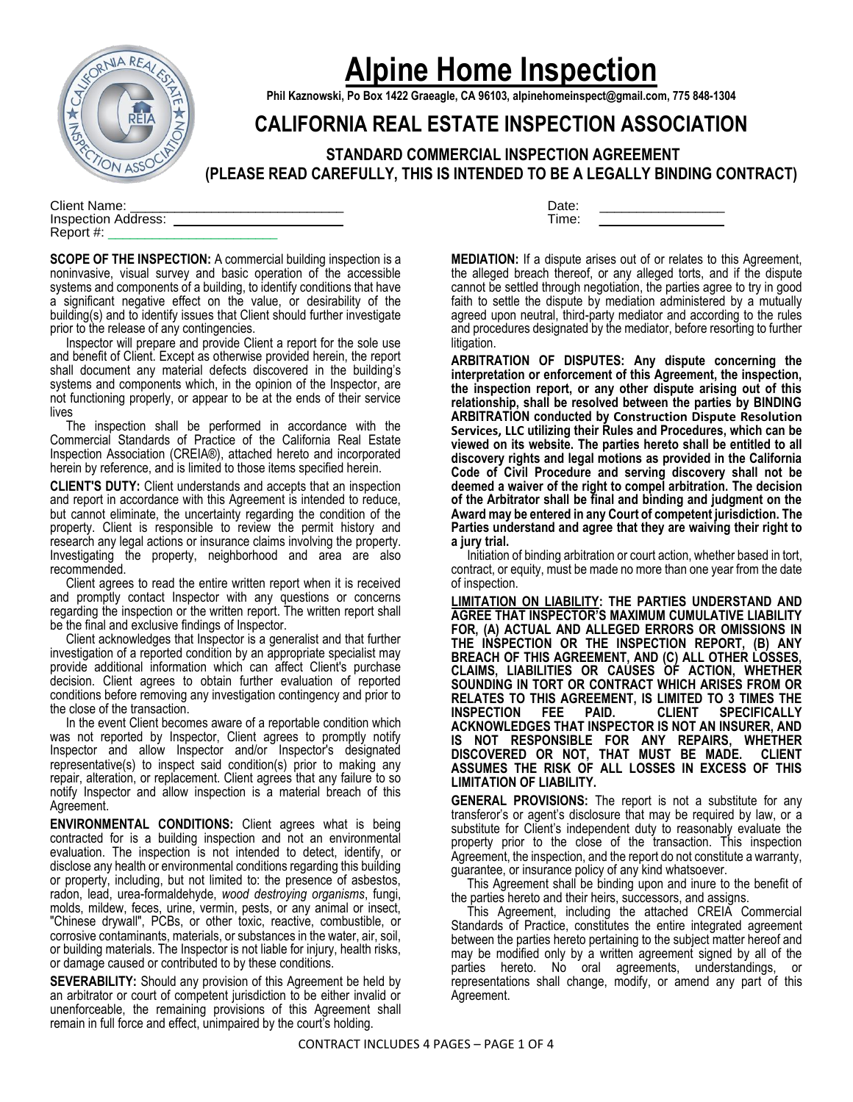

# **Alpine Home Inspection**

**Phil Kaznowski, Po Box 1422 Graeagle, CA 96103, alpinehomeinspect@gmail.com, 775 848-1304**

# **CALIFORNIA REAL ESTATE INSPECTION ASSOCIATION**

**STANDARD COMMERCIAL INSPECTION AGREEMENT (PLEASE READ CAREFULLY, THIS IS INTENDED TO BE A LEGALLY BINDING CONTRACT)**

Client Name: \_\_\_\_\_\_\_\_\_\_\_\_\_\_\_\_\_\_\_\_\_\_\_\_\_\_\_\_\_ Date: \_\_\_\_\_\_\_\_\_\_\_\_\_\_\_\_\_ Inspection Address: Report #:

**SCOPE OF THE INSPECTION:** A commercial building inspection is a noninvasive, visual survey and basic operation of the accessible systems and components of a building, to identify conditions that have a significant negative effect on the value, or desirability of the building(s) and to identify issues that Client should further investigate prior to the release of any contingencies.

 Inspector will prepare and provide Client a report for the sole use and benefit of Client. Except as otherwise provided herein, the report shall document any material defects discovered in the building's systems and components which, in the opinion of the Inspector, are not functioning properly, or appear to be at the ends of their service lives

 The inspection shall be performed in accordance with the Commercial Standards of Practice of the California Real Estate Inspection Association (CREIA®), attached hereto and incorporated herein by reference, and is limited to those items specified herein.

**CLIENT'S DUTY:** Client understands and accepts that an inspection and report in accordance with this Agreement is intended to reduce, but cannot eliminate, the uncertainty regarding the condition of the property. Client is responsible to review the permit history and research any legal actions or insurance claims involving the property. Investigating the property, neighborhood and area are also recommended.

 Client agrees to read the entire written report when it is received and promptly contact Inspector with any questions or concerns regarding the inspection or the written report. The written report shall be the final and exclusive findings of Inspector.

 Client acknowledges that Inspector is a generalist and that further investigation of a reported condition by an appropriate specialist may provide additional information which can affect Client's purchase decision. Client agrees to obtain further evaluation of reported conditions before removing any investigation contingency and prior to the close of the transaction.

 In the event Client becomes aware of a reportable condition which was not reported by Inspector, Client agrees to promptly notify Inspector and allow Inspector and/or Inspector's designated representative(s) to inspect said condition(s) prior to making any repair, alteration, or replacement. Client agrees that any failure to so notify Inspector and allow inspection is a material breach of this Agreement.

**ENVIRONMENTAL CONDITIONS:** Client agrees what is being contracted for is a building inspection and not an environmental evaluation. The inspection is not intended to detect, identify, or disclose any health or environmental conditions regarding this building or property, including, but not limited to: the presence of asbestos, radon, lead, urea-formaldehyde, *wood destroying organisms*, fungi, molds, mildew, feces, urine, vermin, pests, or any animal or insect, "Chinese drywall", PCBs, or other toxic, reactive, combustible, or corrosive contaminants, materials, or substances in the water, air, soil, or building materials. The Inspector is not liable for injury, health risks, or damage caused or contributed to by these conditions.

**SEVERABILITY:** Should any provision of this Agreement be held by an arbitrator or court of competent jurisdiction to be either invalid or unenforceable, the remaining provisions of this Agreement shall remain in full force and effect, unimpaired by the court's holding.

| Date: |  |
|-------|--|
| Time: |  |

**MEDIATION:** If a dispute arises out of or relates to this Agreement, the alleged breach thereof, or any alleged torts, and if the dispute cannot be settled through negotiation, the parties agree to try in good faith to settle the dispute by mediation administered by a mutually agreed upon neutral, third-party mediator and according to the rules and procedures designated by the mediator, before resorting to further litigation.

**ARBITRATION OF DISPUTES: Any dispute concerning the interpretation or enforcement of this Agreement, the inspection, the inspection report, or any other dispute arising out of this relationship, shall be resolved between the parties by BINDING ARBITRATION conducted by Construction Dispute Resolution Services, LLC utilizing their Rules and Procedures, which can be viewed on its website. The parties hereto shall be entitled to all discovery rights and legal motions as provided in the California Code of Civil Procedure and serving discovery shall not be deemed a waiver of the right to compel arbitration. The decision of the Arbitrator shall be final and binding and judgment on the Award may be entered in any Court of competent jurisdiction. The Parties understand and agree that they are waiving their right to a jury trial.** 

 Initiation of binding arbitration or court action, whether based in tort, contract, or equity, must be made no more than one year from the date of inspection.

**LIMITATION ON LIABILITY: THE PARTIES UNDERSTAND AND AGREE THAT INSPECTOR'S MAXIMUM CUMULATIVE LIABILITY FOR, (A) ACTUAL AND ALLEGED ERRORS OR OMISSIONS IN THE INSPECTION OR THE INSPECTION REPORT, (B) ANY BREACH OF THIS AGREEMENT, AND (C) ALL OTHER LOSSES, CLAIMS, LIABILITIES OR CAUSES OF ACTION, WHETHER SOUNDING IN TORT OR CONTRACT WHICH ARISES FROM OR RELATES TO THIS AGREEMENT, IS LIMITED TO 3 TIMES THE INSPECTION FEE PAID. CLIENT SPECIFICALLY ACKNOWLEDGES THAT INSPECTOR IS NOT AN INSURER, AND IS NOT RESPONSIBLE FOR ANY REPAIRS, WHETHER DISCOVERED OR NOT, THAT MUST BE MADE. CLIENT ASSUMES THE RISK OF ALL LOSSES IN EXCESS OF THIS LIMITATION OF LIABILITY.** 

**GENERAL PROVISIONS:** The report is not a substitute for any transferor's or agent's disclosure that may be required by law, or a substitute for Client's independent duty to reasonably evaluate the property prior to the close of the transaction. This inspection Agreement, the inspection, and the report do not constitute a warranty, guarantee, or insurance policy of any kind whatsoever.

 This Agreement shall be binding upon and inure to the benefit of the parties hereto and their heirs, successors, and assigns.

 This Agreement, including the attached CREIA Commercial Standards of Practice, constitutes the entire integrated agreement between the parties hereto pertaining to the subject matter hereof and may be modified only by a written agreement signed by all of the parties hereto. No oral agreements, understandings, or representations shall change, modify, or amend any part of this Agreement.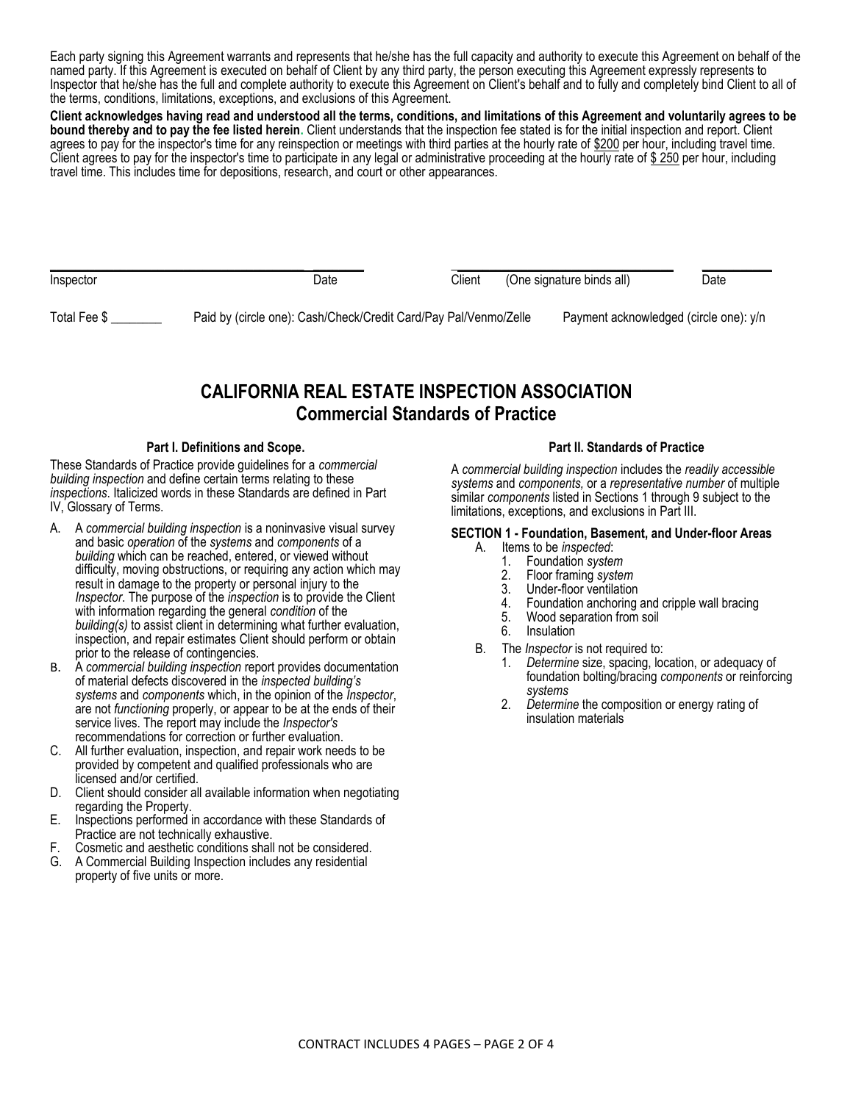Each party signing this Agreement warrants and represents that he/she has the full capacity and authority to execute this Agreement on behalf of the named party. If this Agreement is executed on behalf of Client by any third party, the person executing this Agreement expressly represents to Inspector that he/she has the full and complete authority to execute this Agreement on Client's behalf and to fully and completely bind Client to all of the terms, conditions, limitations, exceptions, and exclusions of this Agreement.

**Client acknowledges having read and understood all the terms, conditions, and limitations of this Agreement and voluntarily agrees to be bound thereby and to pay the fee listed herein.** Client understands that the inspection fee stated is for the initial inspection and report. Client agrees to pay for the inspector's time for any reinspection or meetings with third parties at the hourly rate of \$200 per hour, including travel time. Client agrees to pay for the inspector's time to participate in any legal or administrative proceeding at the hourly rate of  $$250$  per hour, including travel time. This includes time for depositions, research, and court or other appearances.

| Inspector    | Date                                                             | Client | (One signature binds all) |                                        | Date |
|--------------|------------------------------------------------------------------|--------|---------------------------|----------------------------------------|------|
| Total Fee \$ | Paid by (circle one): Cash/Check/Credit Card/Pay Pal/Venmo/Zelle |        |                           | Payment acknowledged (circle one): y/n |      |

# **CALIFORNIA REAL ESTATE INSPECTION ASSOCIATION Commercial Standards of Practice**

#### **Part I. Definitions and Scope.**

These Standards of Practice provide guidelines for a *commercial building inspection* and define certain terms relating to these *inspections*. Italicized words in these Standards are defined in Part IV, Glossary of Terms.

- A. A *commercial building inspection* is a noninvasive visual survey and basic *operation* of the *systems* and *components* of a *building* which can be reached, entered, or viewed without difficulty, moving obstructions, or requiring any action which may result in damage to the property or personal injury to the *Inspector*. The purpose of the *inspection* is to provide the Client with information regarding the general *condition* of the *building(s)* to assist client in determining what further evaluation, inspection, and repair estimates Client should perform or obtain prior to the release of contingencies.
- B. A *commercial building inspection* report provides documentation of material defects discovered in the *inspected building's systems* and *components* which, in the opinion of the *Inspector*, are not *functioning* properly, or appear to be at the ends of their service lives. The report may include the *Inspector's* recommendations for correction or further evaluation.
- C. All further evaluation, inspection, and repair work needs to be provided by competent and qualified professionals who are licensed and/or certified.
- D. Client should consider all available information when negotiating regarding the Property.
- E. Inspections performed in accordance with these Standards of Practice are not technically exhaustive.
- F. Cosmetic and aesthetic conditions shall not be considered.
- G. A Commercial Building Inspection includes any residential property of five units or more.

#### **Part II. Standards of Practice**

A *commercial building inspection* includes the *readily accessible systems* and *components,* or a *representative number* of multiple similar *components* listed in Sections 1 through 9 subject to the limitations, exceptions, and exclusions in Part III.

#### **SECTION 1 - Foundation, Basement, and Under-floor Areas**

- A. Items to be *inspected*:
	- 1. Foundation *system*
	- 2. Floor framing *system*
	- 3. Under-floor ventilation<br>4. Foundation anchoring
	- 4. Foundation anchoring and cripple wall bracing
	- 5. Wood separation from soil
	- 6. Insulation
- B. The *Inspector* is not required to:
	- 1. *Determine* size, spacing, location, or adequacy of foundation bolting/bracing *components* or reinforcing *systems*
	- 2. *Determine* the composition or energy rating of insulation materials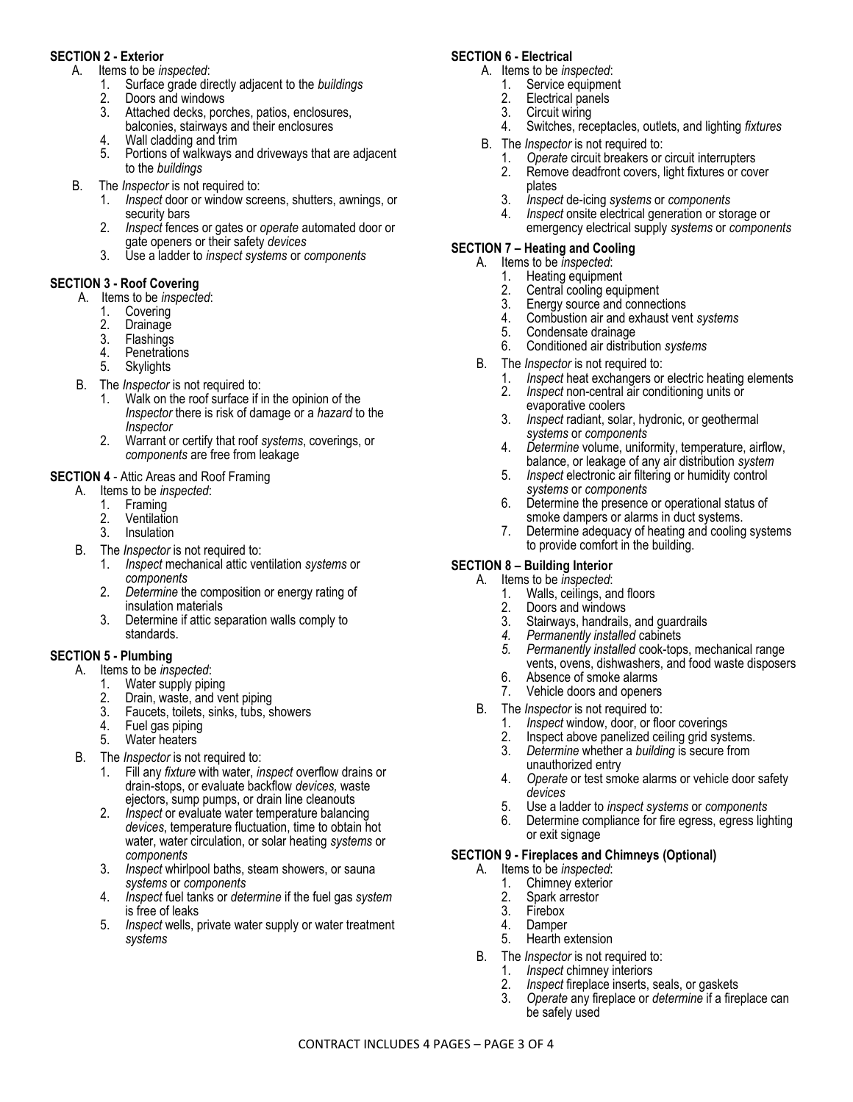### **SECTION 2 - Exterior**

- A. Items to be *inspected*:
	- 1. Surface grade directly adjacent to the *buildings*
	- 2. Doors and windows
	- Attached decks, porches, patios, enclosures, balconies, stairways and their enclosures
	- 4. Wall cladding and trim<br>5. Portions of walkways a
	- 5. Portions of walkways and driveways that are adjacent to the *buildings*
- B. The *Inspector* is not required to:
	- 1. *Inspect* door or window screens, shutters, awnings, or security bars
	- 2. *Inspect* fences or gates or *operate* automated door or gate openers or their safety *devices*
	- 3. Use a ladder to *inspect systems* or *components*

## **SECTION 3 - Roof Covering**

- A. Items to be *inspected*:
	- 1. Covering
	- 2. Drainage
	- 3. Flashings
	- 4. Penetrations
	- **Skylights**
- B. The *Inspector* is not required to:
	- 1. Walk on the roof surface if in the opinion of the *Inspector* there is risk of damage or a *hazard* to the *Inspector*
	- 2. Warrant or certify that roof *systems*, coverings, or *components* are free from leakage

#### **SECTION 4** - Attic Areas and Roof Framing

- A. Items to be *inspected*:
	- 1. Framing
	- 2. Ventilation
	- 3. Insulation
- B. The *Inspector* is not required to:
	- 1. *Inspect* mechanical attic ventilation *systems* or *components*
	- 2. *Determine* the composition or energy rating of insulation materials
	- 3. Determine if attic separation walls comply to standards.

# **SECTION 5 - Plumbing**

- A. Items to be *inspected*:
	- 1. Water supply piping
	- 2. Drain, waste, and vent piping<br>3. Faucets, toilets, sinks, tubs, s
	- 3. Faucets, toilets, sinks, tubs, showers
	- Fuel gas piping
	- 5. Water heaters
- B. The *Inspector* is not required to:
	- 1. Fill any *fixture* with water, *inspect* overflow drains or drain-stops, or evaluate backflow *devices,* waste ejectors, sump pumps, or drain line cleanouts
	- 2. *Inspect* or evaluate water temperature balancing *devices*, temperature fluctuation, time to obtain hot water, water circulation, or solar heating *systems* or *components*
	- 3. *Inspect* whirlpool baths, steam showers, or sauna *systems* or *components*
	- 4. *Inspect* fuel tanks or *determine* if the fuel gas *system* is free of leaks
	- 5. *Inspect* wells, private water supply or water treatment *systems*

### **SECTION 6 - Electrical**

- A. Items to be *inspected*:
	- 1. Service equipment
	- 2. Electrical panels<br>3. Circuit wiring
	- 3. Circuit wiring
	- 4. Switches, receptacles, outlets, and lighting *fixtures*
- B. The *Inspector* is not required to:
	- 1. *Operate* circuit breakers or circuit interrupters
	- Remove deadfront covers, light fixtures or cover plates
	- 3. *Inspect* de-icing *systems* or *components*
	- 4. *Inspect* onsite electrical generation or storage or emergency electrical supply *systems* or *components*

## **SECTION 7 – Heating and Cooling**

- A. Items to be *inspected*:
	- 1. Heating equipment
	- 2. Central cooling equipment<br>3. Energy source and connec
	- Energy source and connections
	- 4. Combustion air and exhaust vent *systems*
	- 5. Condensate drainage
	- 6. Conditioned air distribution *systems*
- B. The *Inspector* is not required to:
	- 1. *Inspect* heat exchangers or electric heating elements 2. *Inspect* non-central air conditioning units or
	- evaporative coolers 3. *Inspect* radiant, solar, hydronic, or geothermal *systems* or *components*
	- 4. *Determine* volume, uniformity, temperature, airflow,
	- balance, or leakage of any air distribution *system* 5. *Inspect* electronic air filtering or humidity control
	- *systems* or *components* 6. Determine the presence or operational status of
	- smoke dampers or alarms in duct systems.
	- 7. Determine adequacy of heating and cooling systems to provide comfort in the building.

### **SECTION 8 – Building Interior**

- A. Items to be *inspected*:
	- 1. Walls, ceilings, and floors
	- 2. Doors and windows<br>3. Stairways, handrails
	- Stairways, handrails, and guardrails
	- *4. Permanently installed* cabinets
	- *5. Permanently installed* cook-tops, mechanical range vents, ovens, dishwashers, and food waste disposers
	- 6. Absence of smoke alarms
	- 7. Vehicle doors and openers
- B. The *Inspector* is not required to:
	- 1. *Inspect* window, door, or floor coverings
	- 2. Inspect above panelized ceiling grid systems.<br>3. Determine whether a building is secure from
	- 3. *Determine* whether a *building* is secure from unauthorized entry
	- 4. *Operate* or test smoke alarms or vehicle door safety *devices*
	- 5. Use a ladder to *inspect systems* or *components*
	- 6. Determine compliance for fire egress, egress lighting or exit signage

#### **SECTION 9 - Fireplaces and Chimneys (Optional)**

- A. Items to be *inspected*:
	- 1. Chimney exterior<br>2. Spark arrestor
		- Spark arrestor
	- 3. Firebox
	- 4. Damper
	- 5. Hearth extension
- B. The *Inspector* is not required to:
	- 1. *Inspect* chimney interiors
	- Inspect fireplace inserts, seals, or gaskets
	- 3. *Operate* any fireplace or *determine* if a fireplace can be safely used